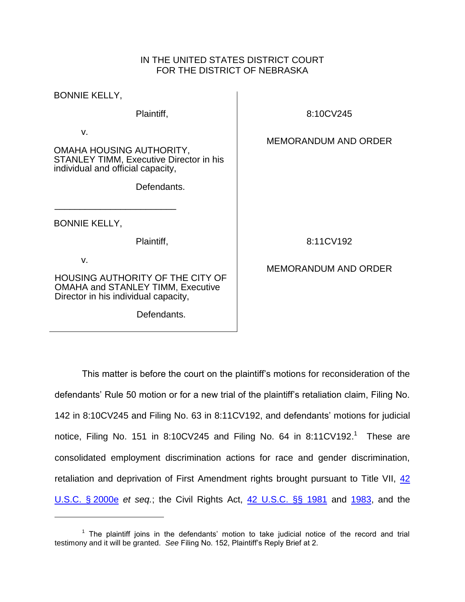### IN THE UNITED STATES DISTRICT COURT FOR THE DISTRICT OF NEBRASKA

BONNIE KELLY,

Plaintiff,

v.

OMAHA HOUSING AUTHORITY, STANLEY TIMM, Executive Director in his individual and official capacity,

Defendants.

BONNIE KELLY,

\_\_\_\_\_\_\_\_\_\_\_\_\_\_\_\_\_\_\_\_\_\_\_\_

Plaintiff,

v.

 $\overline{a}$ 

HOUSING AUTHORITY OF THE CITY OF OMAHA and STANLEY TIMM, Executive Director in his individual capacity,

Defendants.

8:10CV245

## MEMORANDUM AND ORDER

8:11CV192

# MEMORANDUM AND ORDER

This matter is before the court on the plaintiff's motions for reconsideration of the defendants' Rule 50 motion or for a new trial of the plaintiff's retaliation claim, Filing No. 142 in 8:10CV245 and Filing No. 63 in 8:11CV192, and defendants' motions for judicial notice, Filing No. 151 in 8:10CV245 and Filing No. 64 in 8:11CV192.<sup>1</sup> These are consolidated employment discrimination actions for race and gender discrimination, retaliation and deprivation of First Amendment rights brought pursuant to Title VII, [42](http://westlaw.com/find/default.wl?ft=L&docname=42USCAS2000E&rs=btil2.0&rp=%2ffind%2fdefault.wl&fn=_top&findtype=L&vr=2.0&db=1000546&wbtoolsId=42USCAS2000E&HistoryType=F)  [U.S.C.](http://westlaw.com/find/default.wl?ft=L&docname=42USCAS2000E&rs=btil2.0&rp=%2ffind%2fdefault.wl&fn=_top&findtype=L&vr=2.0&db=1000546&wbtoolsId=42USCAS2000E&HistoryType=F) § 2000e *et seq.*; the Civil Rights Act, [42 U.S.C. §§ 1981](http://westlaw.com/find/default.wl?ft=L&docname=42USCAS1981&rs=btil2.0&rp=%2ffind%2fdefault.wl&fn=_top&findtype=L&vr=2.0&db=1000546&wbtoolsId=42USCAS1981&HistoryType=F) and [1983,](https://web2.westlaw.com/find/default.wl?cite=42+usc+1983&ft=L&vr=2.0&rs=WLW12.04&rp=%2ffind%2fdefault.wl&sv=Split&fn=_top&mt=Westlaw) and the

 $1$  The plaintiff joins in the defendants' motion to take judicial notice of the record and trial testimony and it will be granted. *See* Filing No. 152, Plaintiff's Reply Brief at 2.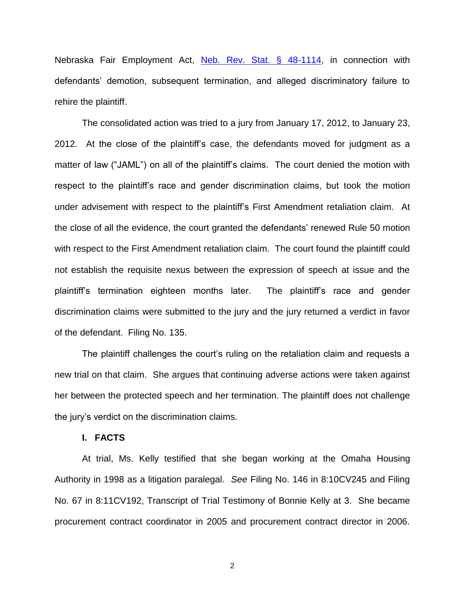Nebraska Fair Employment Act, [Neb. Rev. Stat. § 48-1114,](http://westlaw.com/find/default.wl?ft=L&docname=NESTS48-1114&rs=btil2.0&rp=%2ffind%2fdefault.wl&fn=_top&findtype=L&vr=2.0&db=1000257&wbtoolsId=NESTS48-1114&HistoryType=F) in connection with defendants' demotion, subsequent termination, and alleged discriminatory failure to rehire the plaintiff.

The consolidated action was tried to a jury from January 17, 2012, to January 23, 2012. At the close of the plaintiff's case, the defendants moved for judgment as a matter of law ("JAML") on all of the plaintiff's claims. The court denied the motion with respect to the plaintiff's race and gender discrimination claims, but took the motion under advisement with respect to the plaintiff's First Amendment retaliation claim. At the close of all the evidence, the court granted the defendants' renewed Rule 50 motion with respect to the First Amendment retaliation claim. The court found the plaintiff could not establish the requisite nexus between the expression of speech at issue and the plaintiff's termination eighteen months later. The plaintiff's race and gender discrimination claims were submitted to the jury and the jury returned a verdict in favor of the defendant. Filing No. 135.

The plaintiff challenges the court's ruling on the retaliation claim and requests a new trial on that claim. She argues that continuing adverse actions were taken against her between the protected speech and her termination. The plaintiff does not challenge the jury's verdict on the discrimination claims.

#### **I. FACTS**

At trial, Ms. Kelly testified that she began working at the Omaha Housing Authority in 1998 as a litigation paralegal. *See* Filing No. 146 in 8:10CV245 and Filing No. 67 in 8:11CV192, Transcript of Trial Testimony of Bonnie Kelly at 3. She became procurement contract coordinator in 2005 and procurement contract director in 2006.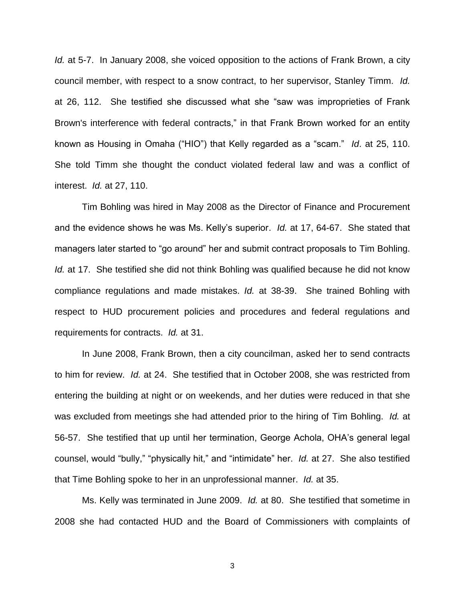*Id.* at 5-7. In January 2008, she voiced opposition to the actions of Frank Brown, a city council member, with respect to a snow contract, to her supervisor, Stanley Timm. *Id.* at 26, 112. She testified she discussed what she "saw was improprieties of Frank Brown's interference with federal contracts," in that Frank Brown worked for an entity known as Housing in Omaha ("HIO") that Kelly regarded as a "scam." *Id*. at 25, 110. She told Timm she thought the conduct violated federal law and was a conflict of interest. *Id.* at 27, 110.

Tim Bohling was hired in May 2008 as the Director of Finance and Procurement and the evidence shows he was Ms. Kelly's superior. *Id.* at 17, 64-67. She stated that managers later started to "go around" her and submit contract proposals to Tim Bohling. *Id.* at 17. She testified she did not think Bohling was qualified because he did not know compliance regulations and made mistakes. *Id.* at 38-39. She trained Bohling with respect to HUD procurement policies and procedures and federal regulations and requirements for contracts. *Id.* at 31.

In June 2008, Frank Brown, then a city councilman, asked her to send contracts to him for review. *Id.* at 24. She testified that in October 2008, she was restricted from entering the building at night or on weekends, and her duties were reduced in that she was excluded from meetings she had attended prior to the hiring of Tim Bohling. *Id.* at 56-57. She testified that up until her termination, George Achola, OHA's general legal counsel, would "bully," "physically hit," and "intimidate" her. *Id.* at 27. She also testified that Time Bohling spoke to her in an unprofessional manner. *Id.* at 35.

Ms. Kelly was terminated in June 2009. *Id.* at 80. She testified that sometime in 2008 she had contacted HUD and the Board of Commissioners with complaints of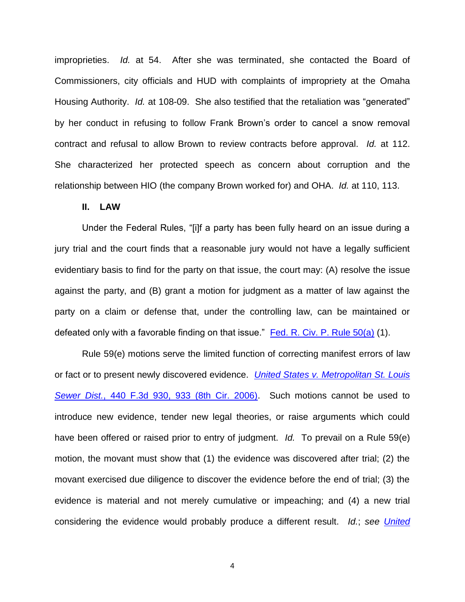improprieties. *Id.* at 54. After she was terminated, she contacted the Board of Commissioners, city officials and HUD with complaints of impropriety at the Omaha Housing Authority. *Id.* at 108-09. She also testified that the retaliation was "generated" by her conduct in refusing to follow Frank Brown's order to cancel a snow removal contract and refusal to allow Brown to review contracts before approval. *Id.* at 112. She characterized her protected speech as concern about corruption and the relationship between HIO (the company Brown worked for) and OHA. *Id.* at 110, 113.

### **II. LAW**

Under the Federal Rules, "[i]f a party has been fully heard on an issue during a jury trial and the court finds that a reasonable jury would not have a legally sufficient evidentiary basis to find for the party on that issue, the court may: (A) resolve the issue against the party, and (B) grant a motion for judgment as a matter of law against the party on a claim or defense that, under the controlling law, can be maintained or defeated only with a favorable finding on that issue." [Fed. R. Civ. P. Rule 50\(a\)](http://westlaw.com/find/default.wl?ft=L&docname=USFRCPR50&rs=btil2.0&rp=%2ffind%2fdefault.wl&fn=_top&findtype=L&vr=2.0&db=1000600&wbtoolsId=USFRCPR50&HistoryType=F) (1).

Rule 59(e) motions serve the limited function of correcting manifest errors of law or fact or to present newly discovered evidence. *[United States v. Metropolitan](http://westlaw.com/find/default.wl?ft=Y&db=0000506&rs=btil2.0&rp=%2ffind%2fdefault.wl&serialnum=2008596331&fn=_top&findtype=Y&vr=2.0&wbtoolsId=2008596331&HistoryType=F) St. Louis Sewer Dist.*[, 440 F.3d 930, 933 \(8th Cir. 2006\).](http://westlaw.com/find/default.wl?ft=Y&db=0000506&rs=btil2.0&rp=%2ffind%2fdefault.wl&serialnum=2008596331&fn=_top&findtype=Y&vr=2.0&wbtoolsId=2008596331&HistoryType=F) Such motions cannot be used to introduce new evidence, tender new legal theories, or raise arguments which could have been offered or raised prior to entry of judgment. *Id.* To prevail on a Rule 59(e) motion, the movant must show that (1) the evidence was discovered after trial; (2) the movant exercised due diligence to discover the evidence before the end of trial; (3) the evidence is material and not merely cumulative or impeaching; and (4) a new trial considering the evidence would probably produce a different result. *Id.*; *see [United](http://westlaw.com/find/default.wl?ft=Y&db=0000506&rs=btil2.0&rp=%2ffind%2fdefault.wl&serialnum=2003175408&fn=_top&findtype=Y&vr=2.0&wbtoolsId=2003175408&HistoryType=F)*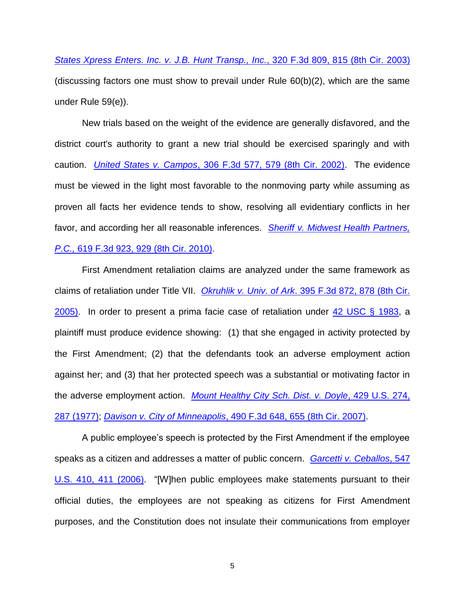*[States Xpress Enters. Inc. v. J.B. Hunt Transp., Inc.](http://westlaw.com/find/default.wl?ft=Y&db=0000506&rs=btil2.0&rp=%2ffind%2fdefault.wl&serialnum=2003175408&fn=_top&findtype=Y&vr=2.0&wbtoolsId=2003175408&HistoryType=F)*, 320 F.3d 809, 815 (8th Cir. 2003) (discussing factors one must show to prevail under Rule 60(b)(2), which are the same under Rule 59(e)).

New trials based on the weight of the evidence are generally disfavored, and the district court's authority to grant a new trial should be exercised sparingly and with caution. *United States v. Campos*[, 306 F.3d 577, 579 \(8th Cir. 2002\).](http://westlaw.com/find/default.wl?ft=Y&db=0000506&rs=btil2.0&rp=%2ffind%2fdefault.wl&serialnum=2002635050&fn=_top&findtype=Y&vr=2.0&wbtoolsId=2002635050&HistoryType=F) The evidence must be viewed in the light most favorable to the nonmoving party while assuming as proven all facts her evidence tends to show, resolving all evidentiary conflicts in her favor, and according her all reasonable inferences. *[Sheriff v. Midwest Health Partners,](http://westlaw.com/find/default.wl?ft=Y&db=0000506&rs=btil2.0&rp=%2ffind%2fdefault.wl&serialnum=2022876190&fn=_top&findtype=Y&vr=2.0&wbtoolsId=2022876190&HistoryType=F)  P.C.,* [619 F.3d 923, 929](http://westlaw.com/find/default.wl?ft=Y&db=0000506&rs=btil2.0&rp=%2ffind%2fdefault.wl&serialnum=2022876190&fn=_top&findtype=Y&vr=2.0&wbtoolsId=2022876190&HistoryType=F) (8th Cir. 2010).

First Amendment retaliation claims are analyzed under the same framework as claims of retaliation under Title VII. *Okruhlik v. Univ. of Ark*[. 395 F.3d 872, 878 \(8th Cir.](http://westlaw.com/find/default.wl?ft=Y&db=0000506&rs=btil2.0&rp=%2ffind%2fdefault.wl&serialnum=2006088434&fn=_top&findtype=Y&vr=2.0&wbtoolsId=2006088434&HistoryType=F) [2005\).](http://westlaw.com/find/default.wl?ft=Y&db=0000506&rs=btil2.0&rp=%2ffind%2fdefault.wl&serialnum=2006088434&fn=_top&findtype=Y&vr=2.0&wbtoolsId=2006088434&HistoryType=F) In order to present a prima facie case of retaliation under [42 USC § 1983,](http://westlaw.com/find/default.wl?ft=L&docname=42USCAS1983&rs=btil2.0&rp=%2ffind%2fdefault.wl&fn=_top&findtype=L&vr=2.0&db=1000546&wbtoolsId=42USCAS1983&HistoryType=F) a plaintiff must produce evidence showing: (1) that she engaged in activity protected by the First Amendment; (2) that the defendants took an adverse employment action against her; and (3) that her protected speech was a substantial or motivating factor in the adverse employment action. *[Mount Healthy City Sch. Dist. v. Doyle](http://westlaw.com/find/default.wl?ft=Y&db=0000780&rs=btil2.0&rp=%2ffind%2fdefault.wl&serialnum=1977118708&fn=_top&findtype=Y&vr=2.0&wbtoolsId=1977118708&HistoryType=F)*, 429 U.S. 274, [287 \(1977\);](http://westlaw.com/find/default.wl?ft=Y&db=0000780&rs=btil2.0&rp=%2ffind%2fdefault.wl&serialnum=1977118708&fn=_top&findtype=Y&vr=2.0&wbtoolsId=1977118708&HistoryType=F) *Davison v. City of Minneapolis*[, 490 F.3d 648, 655 \(8th Cir. 2007\).](http://westlaw.com/find/default.wl?ft=Y&db=0000506&rs=btil2.0&rp=%2ffind%2fdefault.wl&serialnum=2012511218&fn=_top&findtype=Y&vr=2.0&wbtoolsId=2012511218&HistoryType=F)

A public employee's speech is protected by the First Amendment if the employee speaks as a citizen and addresses a matter of public concern. *[Garcetti v. Ceballos](http://westlaw.com/find/default.wl?ft=Y&db=0000780&rs=btil2.0&rp=%2ffind%2fdefault.wl&serialnum=2009252264&fn=_top&findtype=Y&vr=2.0&wbtoolsId=2009252264&HistoryType=F)*, 547 [U.S. 410, 411 \(2006\).](http://westlaw.com/find/default.wl?ft=Y&db=0000780&rs=btil2.0&rp=%2ffind%2fdefault.wl&serialnum=2009252264&fn=_top&findtype=Y&vr=2.0&wbtoolsId=2009252264&HistoryType=F) "[W]hen public employees make statements pursuant to their official duties, the employees are not speaking as citizens for First Amendment purposes, and the Constitution does not insulate their communications from employer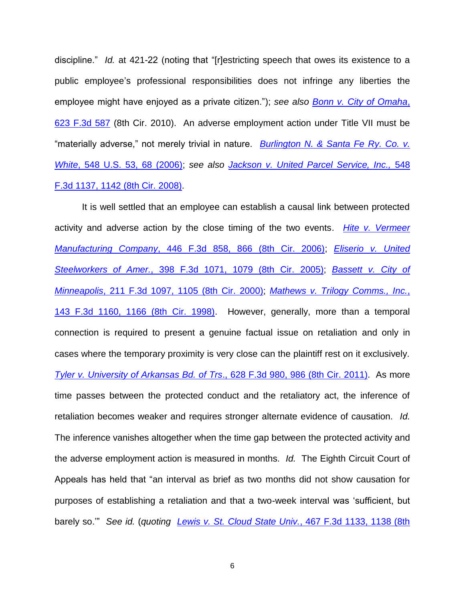discipline." *Id.* at 421-22 (noting that "[r]estricting speech that owes its existence to a public employee's professional responsibilities does not infringe any liberties the employee might have enjoyed as a private citizen."); *see also [Bonn v. City of Omaha](http://westlaw.com/find/default.wl?ft=Y&db=0000506&rs=btil2.0&rp=%2ffind%2fdefault.wl&serialnum=2023389004&fn=_top&findtype=Y&vr=2.0&wbtoolsId=2023389004&HistoryType=F)*, [623 F.3d 587](http://westlaw.com/find/default.wl?ft=Y&db=0000506&rs=btil2.0&rp=%2ffind%2fdefault.wl&serialnum=2023389004&fn=_top&findtype=Y&vr=2.0&wbtoolsId=2023389004&HistoryType=F) (8th Cir. 2010). An adverse employment action under Title VII must be "materially adverse," not merely trivial in nature. *[Burlington N. & Santa Fe Ry. Co. v.](http://westlaw.com/find/default.wl?ft=Y&db=0000780&rs=btil2.0&rp=%2ffind%2fdefault.wl&serialnum=2009404759&fn=_top&findtype=Y&vr=2.0&wbtoolsId=2009404759&HistoryType=F)  White*[, 548 U.S. 53, 68 \(2006\);](http://westlaw.com/find/default.wl?ft=Y&db=0000780&rs=btil2.0&rp=%2ffind%2fdefault.wl&serialnum=2009404759&fn=_top&findtype=Y&vr=2.0&wbtoolsId=2009404759&HistoryType=F) *see also [Jackson v. United Parcel Service, Inc.,](http://westlaw.com/find/default.wl?ft=Y&db=0000506&rs=btil2.0&rp=%2ffind%2fdefault.wl&serialnum=2017578435&fn=_top&findtype=Y&vr=2.0&wbtoolsId=2017578435&HistoryType=F)* 548 [F.3d 1137, 1142 \(8th Cir.](http://westlaw.com/find/default.wl?ft=Y&db=0000506&rs=btil2.0&rp=%2ffind%2fdefault.wl&serialnum=2017578435&fn=_top&findtype=Y&vr=2.0&wbtoolsId=2017578435&HistoryType=F) 2008).

It is well settled that an employee can establish a causal link between protected activity and adverse action by the close timing of the two events. *[Hite v. Vermeer](http://westlaw.com/find/default.wl?ft=Y&db=0000506&rs=btil2.0&rp=%2ffind%2fdefault.wl&serialnum=2009123303&fn=_top&findtype=Y&vr=2.0&wbtoolsId=2009123303&HistoryType=F)  Manufacturing Company*[, 446 F.3d 858, 866 \(8th Cir. 2006\);](http://westlaw.com/find/default.wl?ft=Y&db=0000506&rs=btil2.0&rp=%2ffind%2fdefault.wl&serialnum=2009123303&fn=_top&findtype=Y&vr=2.0&wbtoolsId=2009123303&HistoryType=F) *[Eliserio v. United](http://westlaw.com/find/default.wl?ft=Y&db=0000506&rs=btil2.0&rp=%2ffind%2fdefault.wl&serialnum=2006265384&fn=_top&findtype=Y&vr=2.0&wbtoolsId=2006265384&HistoryType=F)  Steelworkers of Amer.*[, 398 F.3d 1071, 1079 \(8th Cir. 2005\);](http://westlaw.com/find/default.wl?ft=Y&db=0000506&rs=btil2.0&rp=%2ffind%2fdefault.wl&serialnum=2006265384&fn=_top&findtype=Y&vr=2.0&wbtoolsId=2006265384&HistoryType=F) *[Bassett v. City of](http://westlaw.com/find/default.wl?ft=Y&db=0000506&rs=btil2.0&rp=%2ffind%2fdefault.wl&serialnum=2000097676&fn=_top&findtype=Y&vr=2.0&wbtoolsId=2000097676&HistoryType=F)  Minneapolis*[, 211 F.3d 1097, 1105 \(8th Cir. 2000\);](http://westlaw.com/find/default.wl?ft=Y&db=0000506&rs=btil2.0&rp=%2ffind%2fdefault.wl&serialnum=2000097676&fn=_top&findtype=Y&vr=2.0&wbtoolsId=2000097676&HistoryType=F) *[Mathews v. Trilogy Comms., Inc.](http://westlaw.com/find/default.wl?ft=Y&db=0000506&rs=btil2.0&rp=%2ffind%2fdefault.wl&serialnum=1998107023&fn=_top&findtype=Y&vr=2.0&wbtoolsId=1998107023&HistoryType=F)*, [143 F.3d 1160, 1166 \(8th Cir. 1998\).](http://westlaw.com/find/default.wl?ft=Y&db=0000506&rs=btil2.0&rp=%2ffind%2fdefault.wl&serialnum=1998107023&fn=_top&findtype=Y&vr=2.0&wbtoolsId=1998107023&HistoryType=F) However, generally, more than a temporal connection is required to present a genuine factual issue on retaliation and only in cases where the temporary proximity is very close can the plaintiff rest on it exclusively. *[Tyler v. University of Arkansas Bd. of Trs](http://westlaw.com/find/default.wl?ft=Y&db=0000506&rs=btil2.0&rp=%2ffind%2fdefault.wl&serialnum=2024302392&fn=_top&findtype=Y&vr=2.0&wbtoolsId=2024302392&HistoryType=F)*., 628 F.3d 980, 986 (8th Cir. 2011). As more time passes between the protected conduct and the retaliatory act, the inference of retaliation becomes weaker and requires stronger alternate evidence of causation. *Id.* The inference vanishes altogether when the time gap between the protected activity and the adverse employment action is measured in months. *Id.* The Eighth Circuit Court of Appeals has held that "an interval as brief as two months did not show causation for purposes of establishing a retaliation and that a two-week interval was 'sufficient, but barely so.'" *See id.* (*quoting [Lewis v. St. Cloud State Univ.](http://westlaw.com/find/default.wl?ft=Y&db=0000506&rs=btil2.0&rp=%2ffind%2fdefault.wl&serialnum=2010555364&fn=_top&findtype=Y&vr=2.0&wbtoolsId=2010555364&HistoryType=F)*, 467 F.3d 1133, 1138 (8th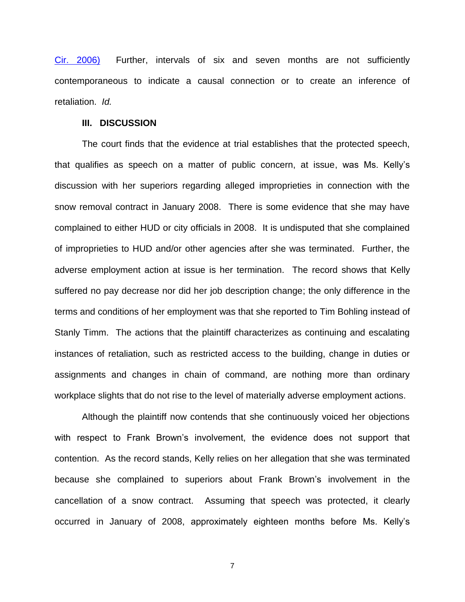Cir. [2006\)](http://westlaw.com/find/default.wl?ft=Y&db=0000506&rs=btil2.0&rp=%2ffind%2fdefault.wl&serialnum=2010555364&fn=_top&findtype=Y&vr=2.0&wbtoolsId=2010555364&HistoryType=F) Further, intervals of six and seven months are not sufficiently contemporaneous to indicate a causal connection or to create an inference of retaliation. *Id.*

#### **III. DISCUSSION**

The court finds that the evidence at trial establishes that the protected speech, that qualifies as speech on a matter of public concern, at issue, was Ms. Kelly's discussion with her superiors regarding alleged improprieties in connection with the snow removal contract in January 2008. There is some evidence that she may have complained to either HUD or city officials in 2008. It is undisputed that she complained of improprieties to HUD and/or other agencies after she was terminated. Further, the adverse employment action at issue is her termination. The record shows that Kelly suffered no pay decrease nor did her job description change; the only difference in the terms and conditions of her employment was that she reported to Tim Bohling instead of Stanly Timm. The actions that the plaintiff characterizes as continuing and escalating instances of retaliation, such as restricted access to the building, change in duties or assignments and changes in chain of command, are nothing more than ordinary workplace slights that do not rise to the level of materially adverse employment actions.

Although the plaintiff now contends that she continuously voiced her objections with respect to Frank Brown's involvement, the evidence does not support that contention. As the record stands, Kelly relies on her allegation that she was terminated because she complained to superiors about Frank Brown's involvement in the cancellation of a snow contract. Assuming that speech was protected, it clearly occurred in January of 2008, approximately eighteen months before Ms. Kelly's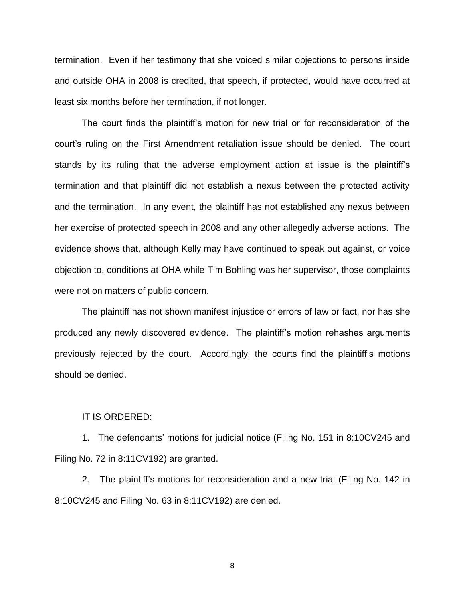termination. Even if her testimony that she voiced similar objections to persons inside and outside OHA in 2008 is credited, that speech, if protected, would have occurred at least six months before her termination, if not longer.

The court finds the plaintiff's motion for new trial or for reconsideration of the court's ruling on the First Amendment retaliation issue should be denied. The court stands by its ruling that the adverse employment action at issue is the plaintiff's termination and that plaintiff did not establish a nexus between the protected activity and the termination. In any event, the plaintiff has not established any nexus between her exercise of protected speech in 2008 and any other allegedly adverse actions. The evidence shows that, although Kelly may have continued to speak out against, or voice objection to, conditions at OHA while Tim Bohling was her supervisor, those complaints were not on matters of public concern.

The plaintiff has not shown manifest injustice or errors of law or fact, nor has she produced any newly discovered evidence. The plaintiff's motion rehashes arguments previously rejected by the court. Accordingly, the courts find the plaintiff's motions should be denied.

#### IT IS ORDERED:

1. The defendants' motions for judicial notice (Filing No. 151 in 8:10CV245 and Filing No. 72 in 8:11CV192) are granted.

2. The plaintiff's motions for reconsideration and a new trial (Filing No. 142 in 8:10CV245 and Filing No. 63 in 8:11CV192) are denied.